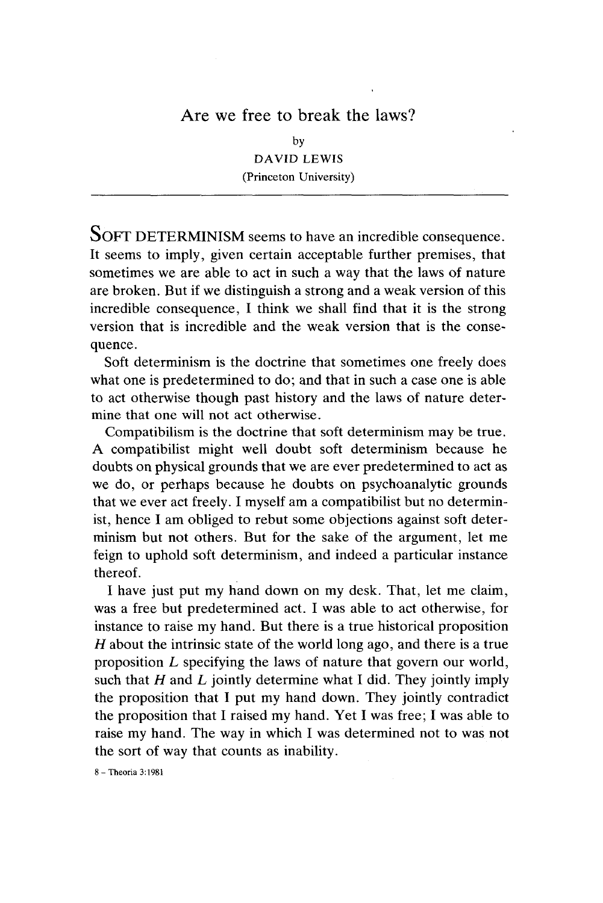## **Are we free to break the laws?**

**by DAVID LEWIS (Princeton University)** 

SOFT DETERMINISM seems to have an incredible consequence. It seems to imply, given certain acceptable further premises, that sometimes we are able to act in such a way that the laws of nature are broken. But if we distinguish a strong and a weak version of this incredible consequence, I think we shall find that it is the strong version that is incredible and the weak version that is the consequence.

Soft determinism is the doctrine that sometimes one freely does what one is predetermined to do; and that in such a case one is able to act otherwise though past history and the laws of nature determine that one will not act otherwise.

Compatibilism is the doctrine that soft determinism may be true. **A** compatibilist might well doubt soft determinism because he doubts on physical grounds that we are ever predetermined to act as we do, or perhaps because he doubts on psychoanalytic grounds that we ever act freely. I myself am a compatibilist but no determinist, hence I am obliged to rebut some objections against soft determinism but not others. But for the sake of the argument, let me feign to uphold soft determinism, and indeed a particular instance thereof.

I have just put my hand down on my desk. That, let me claim, was a free but predetermined act. I was able to act otherwise, for instance to raise my hand. But there is a true historical proposition *H* about the intrinsic state of the world long ago, and there is a true proposition *L* specifying the laws of nature that govern our world, such that *H* and *L* jointly determine what I did. They jointly imply the proposition that **I** put my hand down. They jointly contradict the proposition that I raised my hand. Yet I was free; I was able to raise my hand. The way in which I was determined not to was not the sort of way that counts as inability.

8 - **Theoria 3 1981**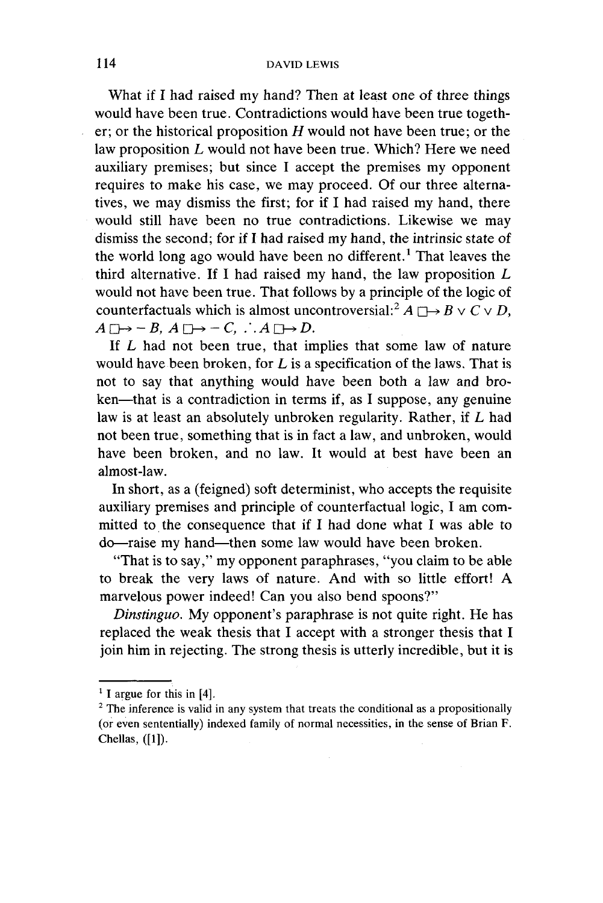What if I had raised my hand? Then at least one of three things would have been true. Contradictions would have been true together; or the historical proposition *H* would not have been true; or the law proposition *L* would not have been true. Which? Here we need auxiliary premises; but since I accept the premises my opponent requires to make his case, we may proceed. Of our three alternatives, we may dismiss the first; for if I had raised my hand, there would still have been no true contradictions. Likewise we may dismiss the second; for if I had raised my hand, the intrinsic state of the world long ago would have been no different.' That leaves the third alternative. If I had raised my hand, the law proposition *L*  would not have been true. That follows by a principle of the logic of counterfactuals which is almost uncontroversial:<sup>2</sup> *A*  $\Box \rightarrow B \lor C \lor D$ ,  $A \Box \rightarrow -B$ ,  $A \Box \rightarrow -C$ ,  $\therefore A \Box \rightarrow D$ .

If *L* had not been true, that implies that some law of nature would have been broken, for *L* is a specification of the laws. That is not to say that anything would have been both a law and broken-that is a contradiction in terms if, as I suppose, any genuine law is at least an absolutely unbroken regularity. Rather, if *L* had not been true, something that is in fact a law, and unbroken, would have been broken, and no law. It would at best have been an almost-law.

In short, as a (feigned) soft determinist, who accepts the requisite auxiliary premises and principle of counterfactual logic, I am committed to the consequence that if I had done what I was able to do-raise my hand-then some law would have been broken.

"That is to say," my opponent paraphrases, "you claim to be able to break the very laws of nature. And with *so* little effort! A marvelous power indeed! Can you also bend spoons?"

*Dinstinguo.* My opponent's paraphrase is not quite right. He has replaced the weak thesis that I accept with a stronger thesis that I join him in rejecting. The strong thesis is utterly incredible, but it is

J

**I argue for this in [4].** 

**The inference is valid in any system that treats the conditional as a propositionally (or even sententially) indexed family** of **normal necessities, in the sense of Brian F. Chellas,** ([ **11).**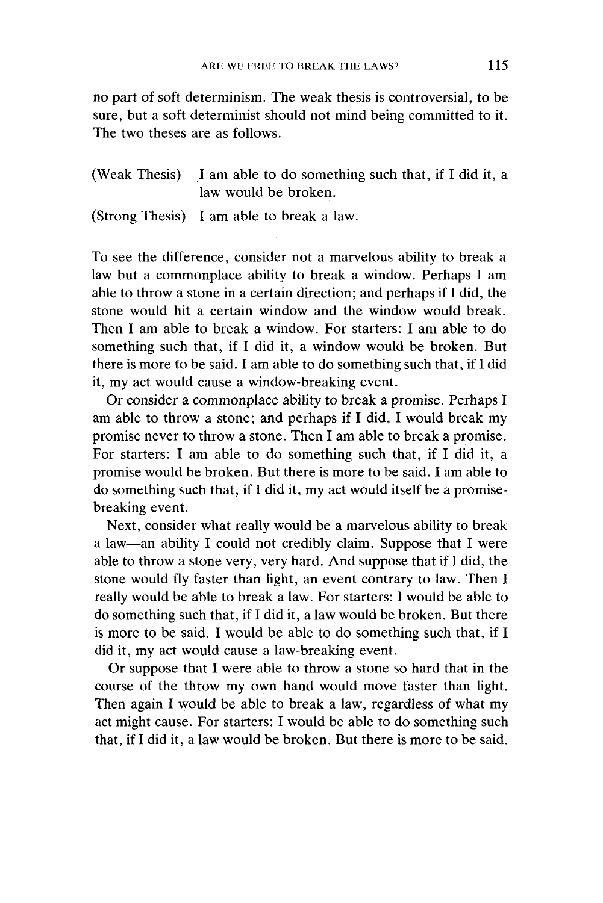no part of soft determinism. The weak thesis is controversial, to be sure, but a soft determinist should not mind being committed to it. The two theses are as follows.

| (Weak Thesis) I am able to do something such that, if I did it, a |  |
|-------------------------------------------------------------------|--|
| law would be broken.                                              |  |

(Strong Thesis) I am able to break a law.

To see the difference, consider not a marvelous ability to break a law but a commonplace ability to break a window. Perhaps I am able to throw a stone in a certain direction; and perhaps if I did, the stone would hit a certain window and the window would break. Then I am able to break a window. For starters: I am able to do something such that, if I did it, a window would be broken. But there **is** more to be said. I am able to do something such that, if I did it, my act would cause a window-breaking event.

Or consider a commonplace ability to break a promise. Perhaps **I**  am able to throw a stone; and perhaps if **I** did, I would break my promise never to throw a stone. Then I am able to break a promise. For starters: I am able to do something such that, if I did it, a promise would be broken. But there is more to be said. I am able to do something such that, if I did it, my act would itself be a promisebreaking event.

Next, consider what really would be a marvelous ability to break a law-an ability I could not credibly claim. Suppose that I were able to throw a stone very, very hard. And suppose that if I did, the stone would fly faster than light, an event contrary to law. Then I really would be able to break a law. For starters: I would be able to do something such that, if I did it, a law would be broken. But there is more to be said. I would be able to do something such that, if I did it, my act would cause a law-breaking event.

Or suppose that I were able to throw a stone so hard that in the course of the throw my own hand would move faster than light. Then again I would be able to break a law, regardless of what my act might cause. For starters: I would be able to do something such that, if I did it, a law would be broken. But there **is** more to be said.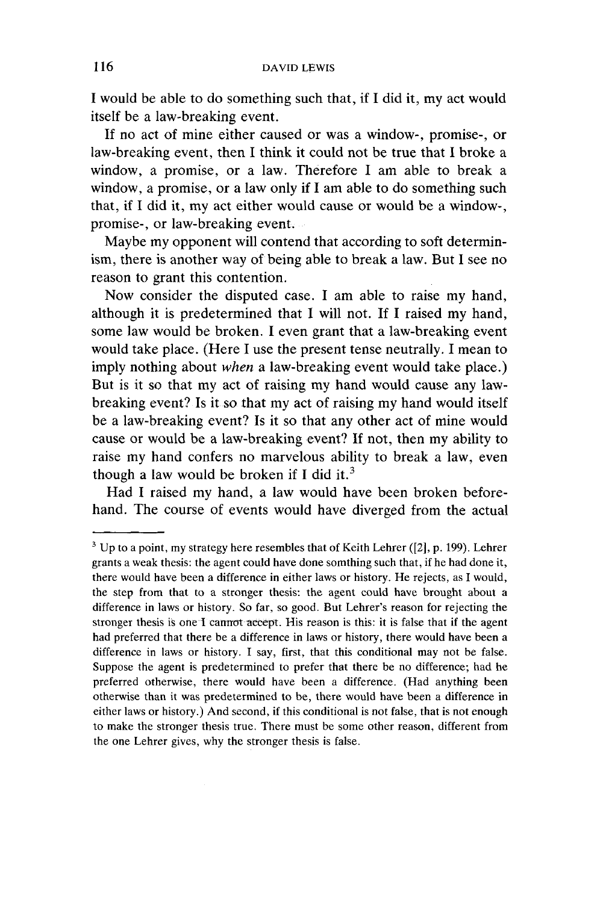I would be able to do something such that, if I did it, my act would itself be a law-breaking event.

If no act of mine either caused or was a window-, promise-, or law-breaking event, then I think it could not be true that I broke a window, a promise, or a law. Therefore I am able to break a window, a promise, or a law only if I am able to do something such that, if I did it, my act either would cause or would be a window-, promise-, or law-breaking event.

Maybe my opponent will contend that according to soft determinism, there is another way of being able to break a law. But I see no reason to grant this contention.

Now consider the disputed case. I am able to raise my hand, although it is predetermined that I will not. If I raised my hand, some law would be broken. **I** even grant that **a** law-breaking event would take place. (Here I use the present tense neutrally. I mean to imply nothing about *when* a law-breaking event would take place.) But is it so that my act of raising my hand would cause any lawbreaking event? Is it *so* that my act of raising my hand would itself be a law-breaking event? Is it so that any other act of mine would cause or would be a law-breaking event? If not, then my ability to raise my hand confers no marvelous ability to break a law, even though a law would be broken if I did it.<sup>3</sup>

Had I raised my hand, a law would have been broken beforehand. The course of events would have diverged from the actual

Up to a point, my strategy here resembles that of Keith Lehrer *([2],* p. 199). Lehrer grants a weak thesis: the agent could have done somthing such that, if he had done it, there would have been a difference in either laws or history. He rejects, as I would, the step from that to a stronger thesis: the agent could have brought about a difference in laws or history. *So* far, so good. **But** Lehrer's reason for rejecting the stronger thesis is one I cannot accept. His reason is this: it is false that if the agent had preferred that there be a difference in laws or history, there would have been a difference in laws or history. I say, first, that this conditional may not be false. Suppose the agent is predetermined to prefer that there be no difference; had he preferred otherwise, there would have been a difference. (Had anything been otherwise than it was predetermined to be, there would have been a difference in either laws or history.) And second, if this conditional is not false, that **is** not enough to make the stronger thesis true. There must be some other reason, different from the one Lehrer gives, why the stronger thesis is false.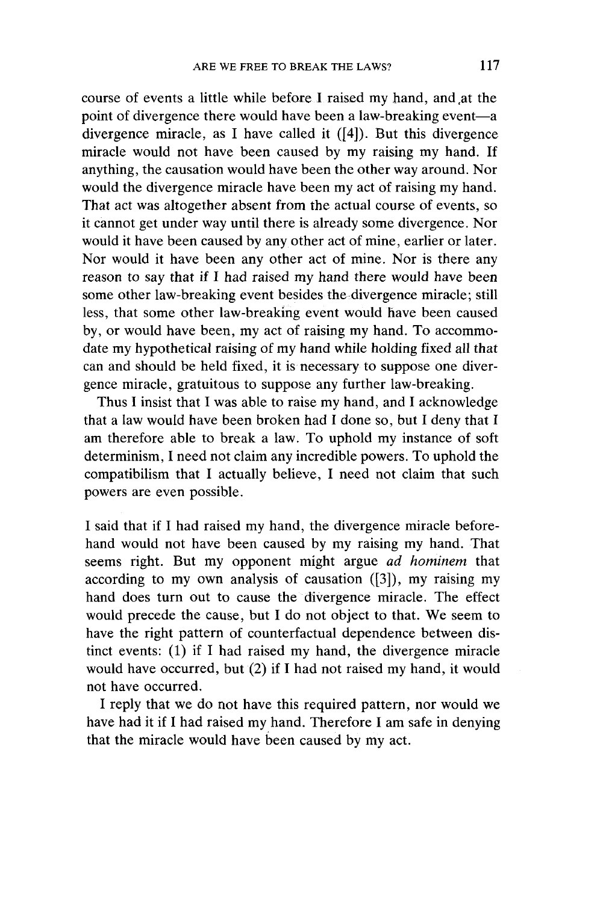course of events a little while befare I raised my hand, and,at the point of divergence there would have been a law-breaking event-a divergence miracle, as I have called it **([4]).** But this divergence miracle would not have been caused by my raising my hand. If anything, the causation would have been the other way around. Nor would the divergence miracle have been my act of raising my hand. That act was altogether absent from the actual course of events, so it cannot get under way until there is already some divergence. Nor would it have been caused by any other act of mine, earlier or later. Nor would it have been any other act of mine. Nor is there any reason to say that if I had raised my hand there would have been some other law-breaking event besides the divergence miracle; still less, that some other law-breaking event would have been caused by, or would have been, my act of raising my hand. To accommodate my hypothetical raising of my hand while holding fixed all that can and should be held fixed, it is necessary to suppose one divergence miracle, gratuitous to suppose any further law-breaking.

Thus I insist that I was able to raise my hand, and I acknowledge that a law would have been broken had I done so, but I deny that I am therefore able to break a law. To uphold my instance of soft determinism, I need not claim any incredible powers. To uphold the compatibilism that I actually believe, I need not claim that such powers are even possible.

I said that if I had raised my hand, the divergence miracle beforehand would not have been caused by my raising my hand. That seems right. But my opponent might argue *ad horninem* that according to my own analysis of causation **([3]),** my raising my hand does turn out to cause the divergence miracle. The effect would precede the cause, but I do not object to that. We seem to have the right pattern of counterfactual dependence between distinct events: (1) if I had raised my hand, the divergence miracle would have occurred, but (2) if I had not raised my hand, it would not have occurred.

I reply that we do not have this required pattern, nor would we have had it if I had raised my hand. Therefore **I** am safe in denying that the miracle would have been caused by my act.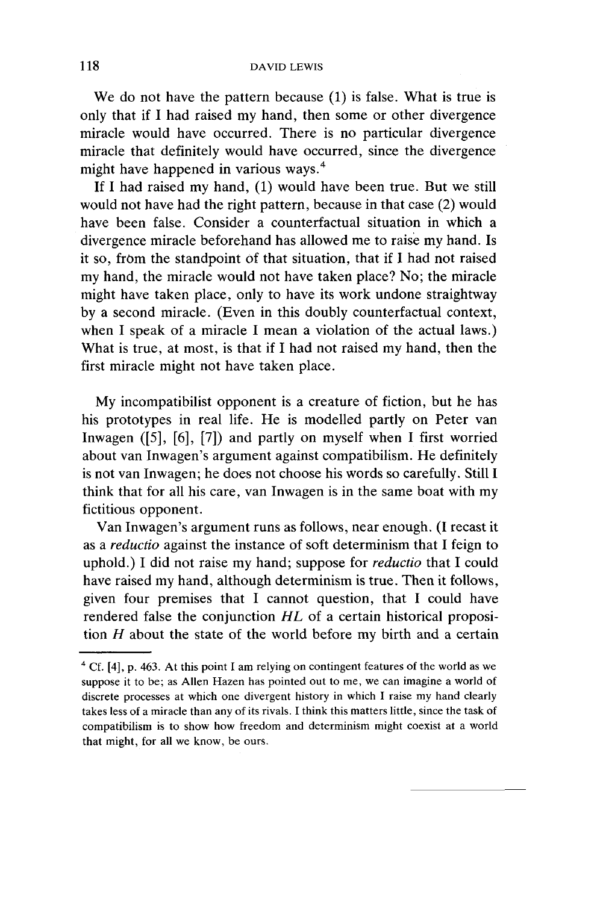We do not have the pattern because (1) is false. What is true is only that if I had raised my hand, then some **or** other divergence miracle would have occurred. There is no particular divergence miracle that definitely would have occurred, since the divergence might have happened in various ways. $4$ 

If I had raised my hand, (1) would have been true. But we still would not have had the right pattern, because in that case (2) would have been false. Consider a counterfactual situation in which a divergence miracle beforehand has allowed me to raise my hand. Is it so, frbm the standpoint **of** that situation, that if **I** had not raised my hand, the miracle would not have taken place? No; the miracle might have taken place, only to have its work undone straightway by a second miracle. (Even in this doubly counterfactual context, when I speak of a miracle I mean a violation of the actual laws.) What is true, at most, is that if I had not raised my hand, then the first miracle might not have taken place.

My incompatibilist opponent is a creature of fiction, but he has his prototypes in real life. He is modelled partly on Peter van Inwagen *([5],* [6], [7]) and partly on myself when I first worried about van Inwagen's argument against compatibilism. He definitely is not van Inwagen; he does not choose his words so carefully. Still I think that for all his care, van Inwagen is in the same boat with my fictitious opponent.

Van Inwagen's argument runs as follows, near enough. (I recast it as a *reductio* against the instance of soft determinism that I feign to uphold.) I did not raise my hand; suppose for *reductio* that I could have raised my hand, although determinism is true. Then it follows, given four premises that I cannot question, that I could have rendered false the conjunction *HL* of a certain historical proposition *H* about the state of the world before my birth and a certain

Cf. **[4],** p. **463.** At this point I am relying on contingent features of the world as we suppose it to be; as Allen Hazen has pointed out to me, we can imagine a world of discrete processes at which one divergent history in which **I** raise my hand clearly takes less of a miracle than any of its rivals. I think this matters little, since the task of compatibilism is to show how freedom and determinism might coexist at a world that might, **for** all we know, be ours.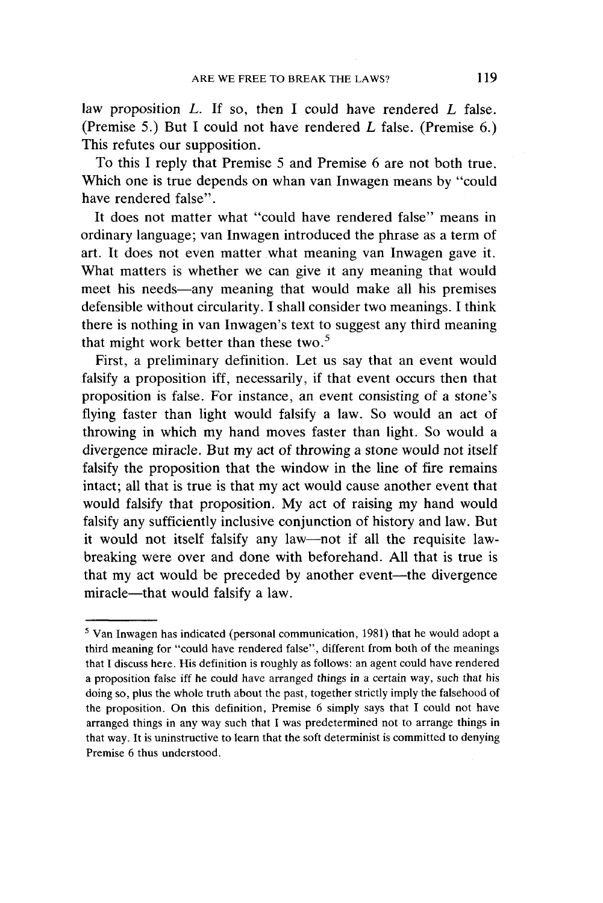law proposition *L.* If so, then I could have rendered *L* false. (Premise 5.) But I could not have rendered *L* false. (Premise **6.)**  This refutes our supposition.

To this I reply that Premise *5* and Premise **6** are not both true. Which one is true depends on whan van Inwagen means by "could have rendered false".

It does not matter what "could have rendered false" means in ordinary language; van Inwagen introduced the phrase as a term of art. It does not even matter what meaning van Inwagen gave it. What matters is whether we can give it any meaning that would meet his needs—any meaning that would make all his premises defensible without circularity. **I** shall consider two meanings. I think there is nothing in van Inwagen's text to suggest any third meaning that might work better than these two. $5$ 

First, a preliminary definition. Let us say that an event would falsify a proposition iff, necessarily, if that event occurs then that proposition is false. For instance, an event consisting of a stone's flying faster than light would falsify a law. So would an act of throwing in which my hand moves faster than light. *So* would a divergence miracle. But my act of throwing a stone would not itself falsify the proposition that the window in the line of fire remains intact; all that is true is that my act would cause another event that would falsify that proposition. My act of raising my hand would falsify any sufficiently inclusive conjunction of history and law. But it would not itself falsify any law-not if all the requisite lawbreaking were over and done with beforehand. All that is true is that my act would be preceded by another event—the divergence miracle-that would falsify a law.

 $5$  Van Inwagen has indicated (personal communication, 1981) that he would adopt a third meaning for "could have rendered false", different from both of the meanings that **I** discuss here. His definition is roughly as follows: an agent could have rendered a proposition false iff he could have arranged things in a certain way, such that his doing so, plus the whole truth about the past, together strictly imply the falsehood of the proposition. On this definition, Premise 6 simply says that I could not have arranged things in any way such that **I** was predetermined not to arrange things in that way. It is uninstructive to learn that the soft determinist is committed to denying Premise 6 thus understood.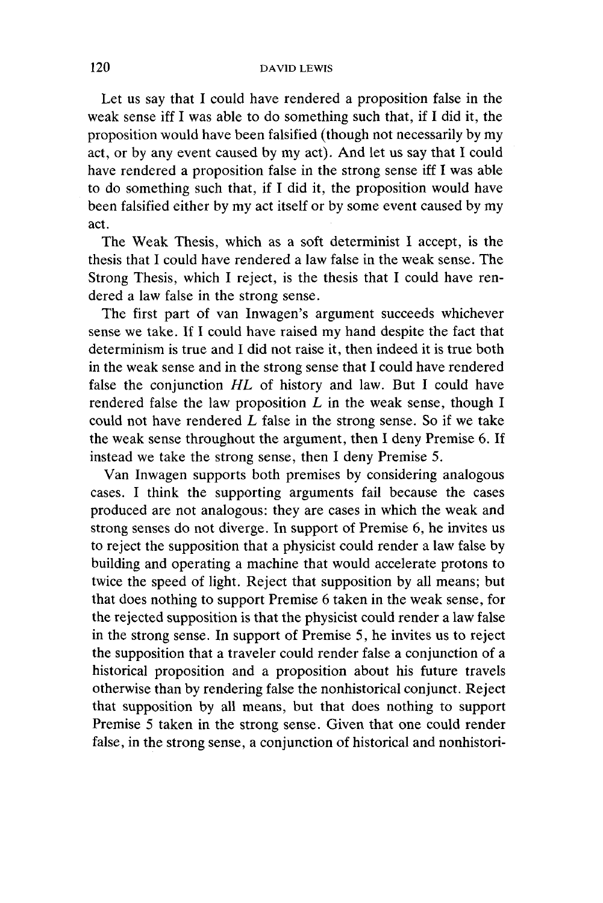Let us say that I could have rendered a proposition false in the weak sense iff I was able to do something such that, if I did it, the proposition would have been falsified (though not necessarily by my act, or by any event caused by my act). And let us say that I could have rendered a proposition false in the strong sense iff **I** was able to do something such that, if **I** did it, the proposition would have been falsified either by my act itself or by some event caused by my act.

The Weak Thesis, which as a soft determinist I accept, is the thesis that I could have rendered a law false in the weak sense. The Strong Thesis, which **I** reject, is the thesis that I could have rendered a law false in the strong sense.

The first part of van Inwagen's argument succeeds whichever sense we take. If I could have raised my hand despite the fact that determinism is true and I did not raise it, then indeed it is true both in the weak sense and in the strong sense that I could have rendered false the conjunction *HL* of history and law. But I could have rendered false the law proposition *L* in the weak sense, though I could not have rendered *L* false in the strong sense. **So** if we take the weak sense throughout the argument, then I deny Premise **6.** If instead we take the strong sense, then I deny Premise *5.* 

Van Inwagen supports both premises by considering analogous cases. I think the supporting arguments fail because the cases produced are not analogous: they are cases in which the weak and strong senses do not diverge. In support of Premise 6, he invites us to reject the supposition that a physicist could render a law false by building and operating a machine that would accelerate protons to twice the speed **of** light. Reject that supposition by all means; but that does nothing to support Premise 6 taken in the weak sense, for the rejected supposition is that the physicist could render a law false in the strong sense. In support of Premise *5,* he invites us to reject the supposition that a traveler could render false a conjunction of a historical proposition and a proposition about his future travels otherwise than by rendering false the nonhistorical conjunct. Reject that supposition by all means, but that does nothing to support Premise *5* taken in the strong sense. Given that one could render false, in the strong sense, a conjunction of historical and nonhistori